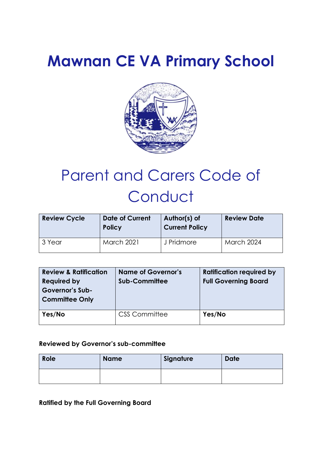# **Mawnan CE VA Primary School**



# Parent and Carers Code of **Conduct**

| <b>Review Cycle</b> | <b>Date of Current</b><br><b>Policy</b> | Author(s) of<br><b>Current Policy</b> | <b>Review Date</b> |
|---------------------|-----------------------------------------|---------------------------------------|--------------------|
| 3 Year              | <b>March 2021</b>                       | J Pridmore                            | <b>March 2024</b>  |

| <b>Review &amp; Ratification</b><br><b>Required by</b><br><b>Governor's Sub-</b><br><b>Committee Only</b> | <b>Name of Governor's</b><br><b>Sub-Committee</b> | <b>Ratification required by</b><br><b>Full Governing Board</b> |
|-----------------------------------------------------------------------------------------------------------|---------------------------------------------------|----------------------------------------------------------------|
| Yes/No                                                                                                    | <b>CSS Committee</b>                              | Yes/No                                                         |

# **Reviewed by Governor's sub-committee**

| Role | <b>Name</b> | Signature | <b>Date</b> |
|------|-------------|-----------|-------------|
|      |             |           |             |

**Ratified by the Full Governing Board**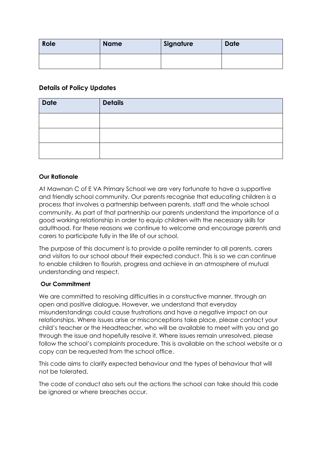| Role | <b>Name</b> | Signature | <b>Date</b> |
|------|-------------|-----------|-------------|
|      |             |           |             |

## **Details of Policy Updates**

| <b>Date</b> | <b>Details</b> |
|-------------|----------------|
|             |                |
|             |                |
|             |                |

#### **Our Rationale**

At Mawnan C of E VA Primary School we are very fortunate to have a supportive and friendly school community. Our parents recognise that educating children is a process that involves a partnership between parents, staff and the whole school community. As part of that partnership our parents understand the importance of a good working relationship in order to equip children with the necessary skills for adulthood. For these reasons we continue to welcome and encourage parents and carers to participate fully in the life of our school.

The purpose of this document is to provide a polite reminder to all parents, carers and visitors to our school about their expected conduct. This is so we can continue to enable children to flourish, progress and achieve in an atmosphere of mutual understanding and respect.

#### **Our Commitment**

We are committed to resolving difficulties in a constructive manner, through an open and positive dialogue. However, we understand that everyday misunderstandings could cause frustrations and have a negative impact on our relationships. Where issues arise or misconceptions take place, please contact your child's teacher or the Headteacher, who will be available to meet with you and go through the issue and hopefully resolve it. Where issues remain unresolved, please follow the school's complaints procedure. This is available on the school website or a copy can be requested from the school office.

This code aims to clarify expected behaviour and the types of behaviour that will not be tolerated.

The code of conduct also sets out the actions the school can take should this code be ignored or where breaches occur.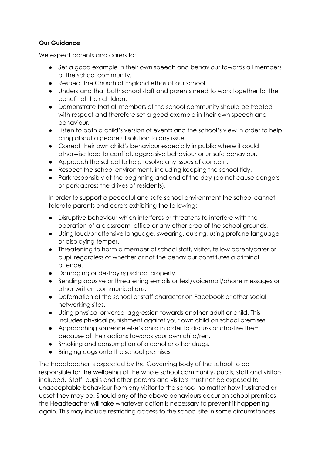## **Our Guidance**

We expect parents and carers to:

- Set a good example in their own speech and behaviour towards all members of the school community.
- Respect the Church of England ethos of our school.
- Understand that both school staff and parents need to work together for the benefit of their children.
- Demonstrate that all members of the school community should be treated with respect and therefore set a good example in their own speech and behaviour.
- Listen to both a child's version of events and the school's view in order to help bring about a peaceful solution to any issue.
- Correct their own child's behaviour especially in public where it could otherwise lead to conflict, aggressive behaviour or unsafe behaviour.
- Approach the school to help resolve any issues of concern.
- Respect the school environment, including keeping the school tidy.
- Park responsibly at the beginning and end of the day (do not cause dangers or park across the drives of residents).

In order to support a peaceful and safe school environment the school cannot tolerate parents and carers exhibiting the following:

- Disruptive behaviour which interferes or threatens to interfere with the operation of a classroom, office or any other area of the school grounds.
- Using loud/or offensive language, swearing, cursing, using profane language or displaying temper.
- Threatening to harm a member of school staff, visitor, fellow parent/carer or pupil regardless of whether or not the behaviour constitutes a criminal offence.
- Damaging or destroying school property.
- Sending abusive or threatening e-mails or text/voicemail/phone messages or other written communications.
- Defamation of the school or staff character on Facebook or other social networking sites.
- Using physical or verbal aggression towards another adult or child. This includes physical punishment against your own child on school premises.
- Approaching someone else's child in order to discuss or chastise them because of their actions towards your own child/ren.
- Smoking and consumption of alcohol or other drugs.
- Bringing dogs onto the school premises

The Headteacher is expected by the Governing Body of the school to be responsible for the wellbeing of the whole school community, pupils, staff and visitors included. Staff, pupils and other parents and visitors must not be exposed to unacceptable behaviour from any visitor to the school no matter how frustrated or upset they may be. Should any of the above behaviours occur on school premises the Headteacher will take whatever action is necessary to prevent it happening again. This may include restricting access to the school site in some circumstances.